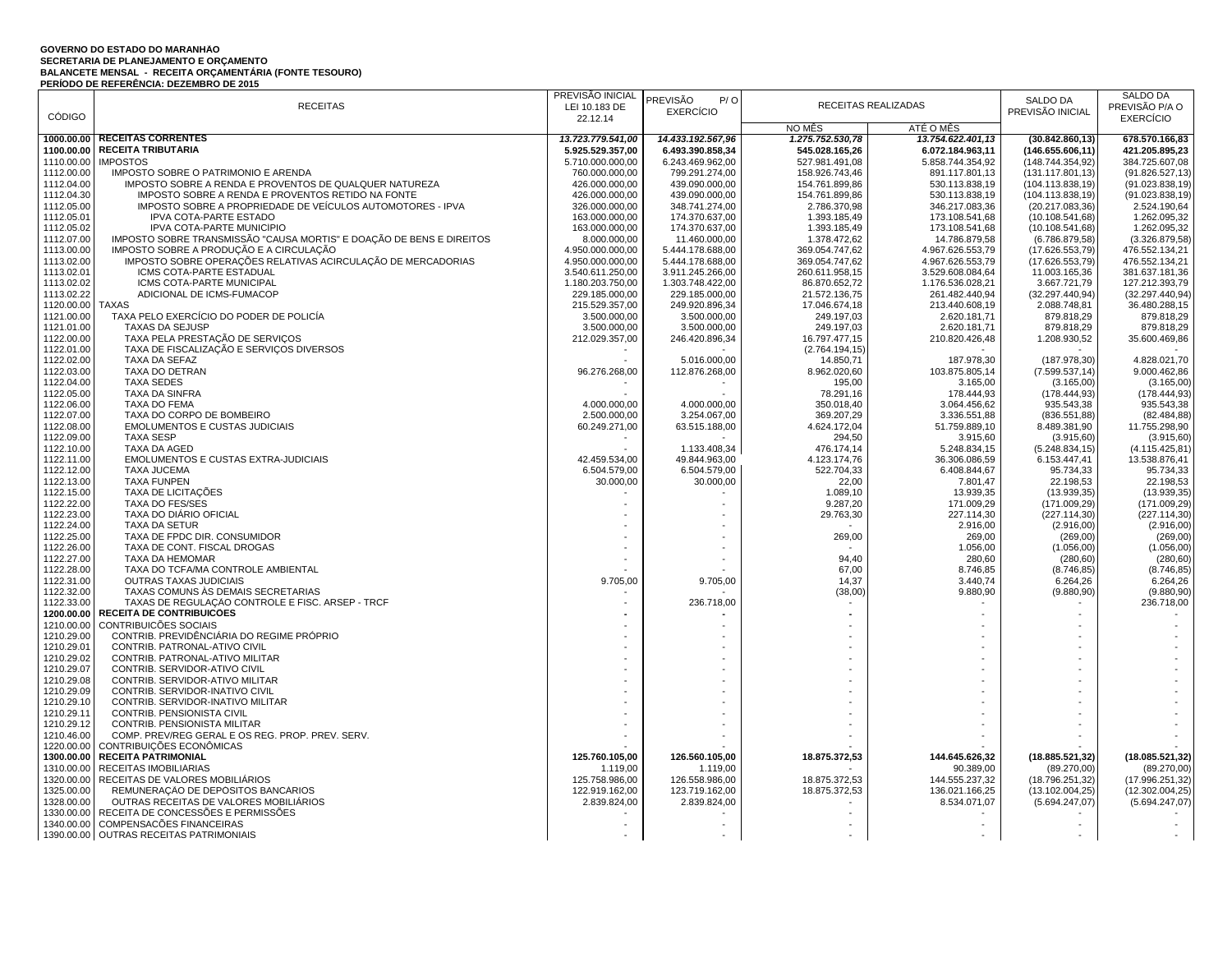## **GOVERNO DO ESTADO DO MARANHÃO** SECRETARIA DE PLANEJAMENTO E ORÇAMENTO<br>BALANCETE MENSAL - RECEITA ORÇAMENTÁRIA (FONTE TESOURO)<br>PERÍODO DE REFERÊNCIA: DEZEMBRO DE 2015

|                          |                                                                      | PREVISÃO INICIAL                 | PREVISÃO<br>P/O                  |                              |                                  | SALDO DA                           | SALDO DA                     |
|--------------------------|----------------------------------------------------------------------|----------------------------------|----------------------------------|------------------------------|----------------------------------|------------------------------------|------------------------------|
|                          | <b>RECEITAS</b>                                                      | LEI 10.183 DE                    | <b>EXERCÍCIO</b>                 |                              | RECEITAS REALIZADAS              | PREVISÃO INICIAL                   | PREVISÃO P/A O               |
| <b>CÓDIGO</b>            |                                                                      | 22.12.14                         |                                  |                              |                                  |                                    | <b>EXERCÍCIO</b>             |
|                          |                                                                      |                                  |                                  | NO MÊS                       | ATÉ O MÊS                        |                                    |                              |
|                          | 1000.00.00 RECEITAS CORRENTES                                        | 13.723.779.541,00                | 14.433.192.567,96                | 1.275.752.530,78             | 13.754.622.401,13                | (30.842.860, 13)                   | 678.570.166,83               |
| 1100.00.00               | <b>RECEITA TRIBUTARIA</b>                                            | 5.925.529.357,00                 | 6.493.390.858,34                 | 545.028.165,26               | 6.072.184.963,11                 | (146.655.606, 11)                  | 421.205.895,23               |
| 1110.00.00               | <b>IMPOSTOS</b>                                                      | 5.710.000.000.00                 | 6.243.469.962,00                 | 527.981.491,08               | 5.858.744.354.92                 | (148.744.354.92)                   | 384.725.607,08               |
| 1112.00.00               | IMPOSTO SOBRE O PATRIMONIO E ARENDA                                  | 760.000.000,00                   | 799.291.274,00                   | 158.926.743,46               | 891.117.801,13                   | (131.117.801, 13)                  | (91.826.527, 13)             |
| 1112.04.00               | IMPOSTO SOBRE A RENDA E PROVENTOS DE QUALQUER NATUREZA               | 426.000.000,00                   | 439.090.000,00                   | 154.761.899,86               | 530.113.838,19                   | (104.113.838, 19)                  | (91.023.838, 19)             |
| 1112.04.30               | IMPOSTO SOBRE A RENDA E PROVENTOS RETIDO NA FONTE                    | 426.000.000,00                   | 439.090.000,00                   | 154.761.899,86               | 530.113.838,19                   | (104.113.838, 19)                  | (91.023.838, 19)             |
| 1112.05.00               | IMPOSTO SOBRE A PROPRIEDADE DE VEÍCULOS AUTOMOTORES - IPVA           | 326.000.000,00                   | 348.741.274,00                   | 2.786.370,98                 | 346.217.083,36                   | (20.217.083,36)                    | 2.524.190,64                 |
| 1112.05.01<br>1112.05.02 | IPVA COTA-PARTE ESTADO<br>IPVA COTA-PARTE MUNICÍPIO                  | 163.000.000,00<br>163.000.000,00 | 174.370.637,00<br>174.370.637,00 | 1.393.185,49<br>1.393.185,49 | 173.108.541,68<br>173.108.541,68 | (10.108.541,68)<br>(10.108.541,68) | 1.262.095,32<br>1.262.095,32 |
| 1112.07.00               | IMPOSTO SOBRE TRANSMISSÃO "CAUSA MORTIS" E DOAÇÃO DE BENS E DIREITOS | 8.000.000,00                     | 11.460.000,00                    | 1.378.472,62                 | 14.786.879,58                    | (6.786.879,58)                     | (3.326.879, 58)              |
| 1113.00.00               | IMPOSTO SOBRE A PRODUÇÃO E A CIRCULAÇÃO                              | 4.950.000.000,00                 | 5.444.178.688,00                 | 369.054.747,62               | 4.967.626.553,79                 | (17.626.553,79)                    | 476.552.134,21               |
| 1113.02.00               | IMPOSTO SOBRE OPERAÇÕES RELATIVAS ACIRCULAÇÃO DE MERCADORIAS         | 4.950.000.000,00                 | 5.444.178.688,00                 | 369.054.747,62               | 4.967.626.553,79                 | (17.626.553,79)                    | 476.552.134,21               |
| 1113.02.01               | ICMS COTA-PARTE ESTADUAL                                             | 3.540.611.250,00                 | 3.911.245.266,00                 | 260.611.958,15               | 3.529.608.084,64                 | 11.003.165,36                      | 381.637.181,36               |
| 1113.02.02               | ICMS COTA-PARTE MUNICIPAL                                            | 1.180.203.750,00                 | 1.303.748.422,00                 | 86.870.652,72                | 1.176.536.028,21                 | 3.667.721,79                       | 127.212.393,79               |
| 1113.02.22               | ADICIONAL DE ICMS-FUMACOP                                            | 229.185.000,00                   | 229.185.000,00                   | 21.572.136,75                | 261.482.440,94                   | (32.297.440.94)                    | (32.297.440, 94)             |
| 1120.00.00               | <b>TAXAS</b>                                                         | 215.529.357,00                   | 249.920.896,34                   | 17.046.674,18                | 213.440.608,19                   | 2.088.748,81                       | 36.480.288,15                |
| 1121.00.00               | TAXA PELO EXERCÍCIO DO PODER DE POLICÍA                              | 3.500.000,00                     | 3.500.000,00                     | 249.197,03                   | 2.620.181,71                     | 879.818,29                         | 879.818,29                   |
| 1121.01.00               | TAXAS DA SEJUSP                                                      | 3.500.000,00                     | 3.500.000,00                     | 249.197,03                   | 2.620.181,71                     | 879.818,29                         | 879.818,29                   |
| 1122.00.00               | TAXA PELA PRESTAÇÃO DE SERVIÇOS                                      | 212.029.357,00                   | 246.420.896,34                   | 16.797.477,15                | 210.820.426,48                   | 1.208.930,52                       | 35.600.469,86                |
| 1122.01.00               | TAXA DE FISCALIZAÇÃO E SERVIÇOS DIVERSOS                             |                                  |                                  | (2.764.194, 15)              |                                  |                                    |                              |
| 1122.02.00               | TAXA DA SEFAZ                                                        |                                  | 5.016.000,00                     | 14.850,71                    | 187.978,30                       | (187.978, 30)                      | 4.828.021,70                 |
| 1122.03.00               | TAXA DO DETRAN                                                       | 96.276.268,00                    | 112.876.268,00                   | 8.962.020,60                 | 103.875.805,14                   | (7.599.537, 14)                    | 9.000.462,86                 |
| 1122.04.00               | <b>TAXA SEDES</b>                                                    |                                  |                                  | 195,00                       | 3.165,00                         | (3.165,00)                         | (3.165,00)                   |
| 1122.05.00               | TAXA DA SINFRA                                                       |                                  |                                  | 78.291,16                    | 178,444.93                       | (178.444, 93)                      | (178.444, 93)                |
| 1122.06.00               | TAXA DO FEMA                                                         | 4.000.000,00                     | 4.000.000,00                     | 350.018,40                   | 3.064.456,62                     | 935.543,38                         | 935.543,38                   |
| 1122.07.00               | TAXA DO CORPO DE BOMBEIRO                                            | 2.500.000,00                     | 3.254.067,00                     | 369.207,29                   | 3.336.551,88                     | (836.551, 88)                      | (82.484, 88)                 |
| 1122.08.00               | <b>EMOLUMENTOS E CUSTAS JUDICIAIS</b>                                | 60.249.271,00                    | 63.515.188,00                    | 4.624.172,04                 | 51.759.889,10                    | 8.489.381,90                       | 11.755.298,90                |
| 1122.09.00               | <b>TAXA SESP</b>                                                     |                                  |                                  | 294,50                       | 3.915,60                         | (3.915, 60)                        | (3.915, 60)                  |
| 1122.10.00               | <b>TAXA DA AGED</b>                                                  |                                  | 1.133.408,34                     | 476.174,14                   | 5.248.834,15                     | (5.248.834, 15)                    | (4.115.425.81)               |
| 1122.11.00               | EMOLUMENTOS E CUSTAS EXTRA-JUDICIAIS                                 | 42.459.534,00                    | 49.844.963,00                    | 4.123.174,76                 | 36.306.086,59                    | 6.153.447,41                       | 13.538.876,41                |
| 1122.12.00               | <b>TAXA JUCEMA</b>                                                   | 6.504.579,00                     | 6.504.579,00                     | 522.704,33                   | 6.408.844,67                     | 95.734,33                          | 95.734,33                    |
| 1122.13.00               | <b>TAXA FUNPEN</b>                                                   | 30.000,00                        | 30.000,00                        | 22,00                        | 7.801.47                         | 22.198,53                          | 22.198,53                    |
| 1122.15.00<br>1122.22.00 | TAXA DE LICITAÇÕES<br><b>TAXA DO FES/SES</b>                         |                                  |                                  | 1.089,10<br>9.287,20         | 13.939,35<br>171.009,29          | (13.939, 35)<br>(171.009.29)       | (13.939, 35)<br>(171.009.29) |
| 1122.23.00               | <b>TAXA DO DIÁRIO OFICIAL</b>                                        |                                  |                                  | 29.763,30                    | 227.114,30                       | (227.114,30)                       | (227.114,30)                 |
| 1122.24.00               | <b>TAXA DA SETUR</b>                                                 |                                  |                                  |                              | 2.916,00                         | (2.916,00)                         | (2.916,00)                   |
| 1122.25.00               | TAXA DE FPDC DIR. CONSUMIDOR                                         |                                  |                                  | 269,00                       | 269,00                           | (269,00)                           | (269,00)                     |
| 1122.26.00               | TAXA DE CONT. FISCAL DROGAS                                          |                                  |                                  |                              | 1.056,00                         | (1.056, 00)                        | (1.056, 00)                  |
| 1122.27.00               | TAXA DA HEMOMAR                                                      |                                  |                                  | 94,40                        | 280,60                           | (280, 60)                          | (280, 60)                    |
| 1122.28.00               | TAXA DO TCFA/MA CONTROLE AMBIENTAL                                   |                                  |                                  | 67,00                        | 8.746,85                         | (8.746, 85)                        | (8.746, 85)                  |
| 1122.31.00               | OUTRAS TAXAS JUDICIAIS                                               | 9.705,00                         | 9.705,00                         | 14,37                        | 3.440,74                         | 6.264,26                           | 6.264,26                     |
| 1122.32.00               | TAXAS COMUNS AS DEMAIS SECRETARIAS                                   |                                  |                                  | (38,00)                      | 9.880,90                         | (9.880, 90)                        | (9.880, 90)                  |
| 1122.33.00               | TAXAS DE REGULAÇÃO CONTROLE E FISC. ARSEP - TRCF                     |                                  | 236.718,00                       |                              | $\overline{\phantom{a}}$         |                                    | 236.718,00                   |
| 1200.00.00               | <b>RECEITA DE CONTRIBUICOES</b>                                      |                                  |                                  |                              |                                  |                                    |                              |
| 1210.00.00               | CONTRIBUICÕES SOCIAIS                                                |                                  |                                  |                              |                                  |                                    |                              |
| 1210.29.00               | CONTRIB. PREVIDÊNCIÁRIA DO REGIME PRÓPRIO                            |                                  |                                  |                              |                                  |                                    |                              |
| 1210.29.01               | CONTRIB. PATRONAL-ATIVO CIVIL                                        |                                  |                                  |                              |                                  |                                    |                              |
| 1210.29.02               | CONTRIB. PATRONAL-ATIVO MILITAR                                      |                                  |                                  |                              |                                  |                                    |                              |
| 1210.29.07               | CONTRIB. SERVIDOR-ATIVO CIVIL                                        |                                  |                                  |                              |                                  |                                    |                              |
| 1210.29.08               | CONTRIB. SERVIDOR-ATIVO MILITAR                                      |                                  |                                  |                              |                                  |                                    |                              |
| 1210.29.09               | CONTRIB. SERVIDOR-INATIVO CIVIL                                      |                                  |                                  |                              |                                  |                                    |                              |
| 1210.29.10<br>1210.29.11 | CONTRIB. SERVIDOR-INATIVO MILITAR<br>CONTRIB. PENSIONISTA CIVIL      |                                  |                                  |                              |                                  |                                    |                              |
| 1210.29.12               | CONTRIB. PENSIONISTA MILITAR                                         |                                  |                                  |                              | $\sim$                           |                                    |                              |
| 1210.46.00               | COMP. PREV/REG GERAL E OS REG. PROP. PREV. SERV.                     |                                  |                                  |                              |                                  |                                    |                              |
| 1220.00.00               | CONTRIBUIÇÕES ECONÔMICAS                                             |                                  |                                  |                              |                                  |                                    |                              |
| 1300.00.00               | <b>RECEITA PATRIMONIAL</b>                                           | 125.760.105,00                   | 126.560.105,00                   | 18.875.372,53                | 144.645.626,32                   | (18.885.521.32)                    | (18.085.521.32)              |
| 1310.00.00               | RECEITAS IMOBILIÁRIAS                                                | 1.119,00                         | 1.119,00                         |                              | 90.389,00                        | (89.270,00)                        | (89.270,00)                  |
| 1320.00.00               | RECEITAS DE VALORES MOBILIÁRIOS                                      | 125.758.986,00                   | 126.558.986,00                   | 18.875.372,53                | 144.555.237,32                   | (18.796.251, 32)                   | (17.996.251,32)              |
| 1325.00.00               | REMUNERAÇÃO DE DEPOSITOS BANCARIOS                                   | 122.919.162,00                   | 123.719.162,00                   | 18.875.372,53                | 136.021.166.25                   | (13.102.004,25)                    | (12.302.004,25)              |
| 1328.00.00               | OUTRAS RECEITAS DE VALORES MOBILIÁRIOS                               | 2.839.824,00                     | 2.839.824,00                     |                              | 8.534.071,07                     | (5.694.247,07)                     | (5.694.247,07)               |
| 1330.00.00               | RECEITA DE CONCESSÕES E PERMISSÕES                                   |                                  |                                  |                              |                                  |                                    |                              |
| 1340.00.00               | COMPENSACÕES FINANCEIRAS                                             |                                  | ٠                                |                              | $\sim$                           |                                    |                              |
|                          | 1390.00.00 OUTRAS RECEITAS PATRIMONIAIS                              |                                  | $\blacksquare$                   | $\overline{a}$               | $\overline{\phantom{a}}$         | $\sim$                             |                              |
|                          |                                                                      |                                  |                                  |                              |                                  |                                    |                              |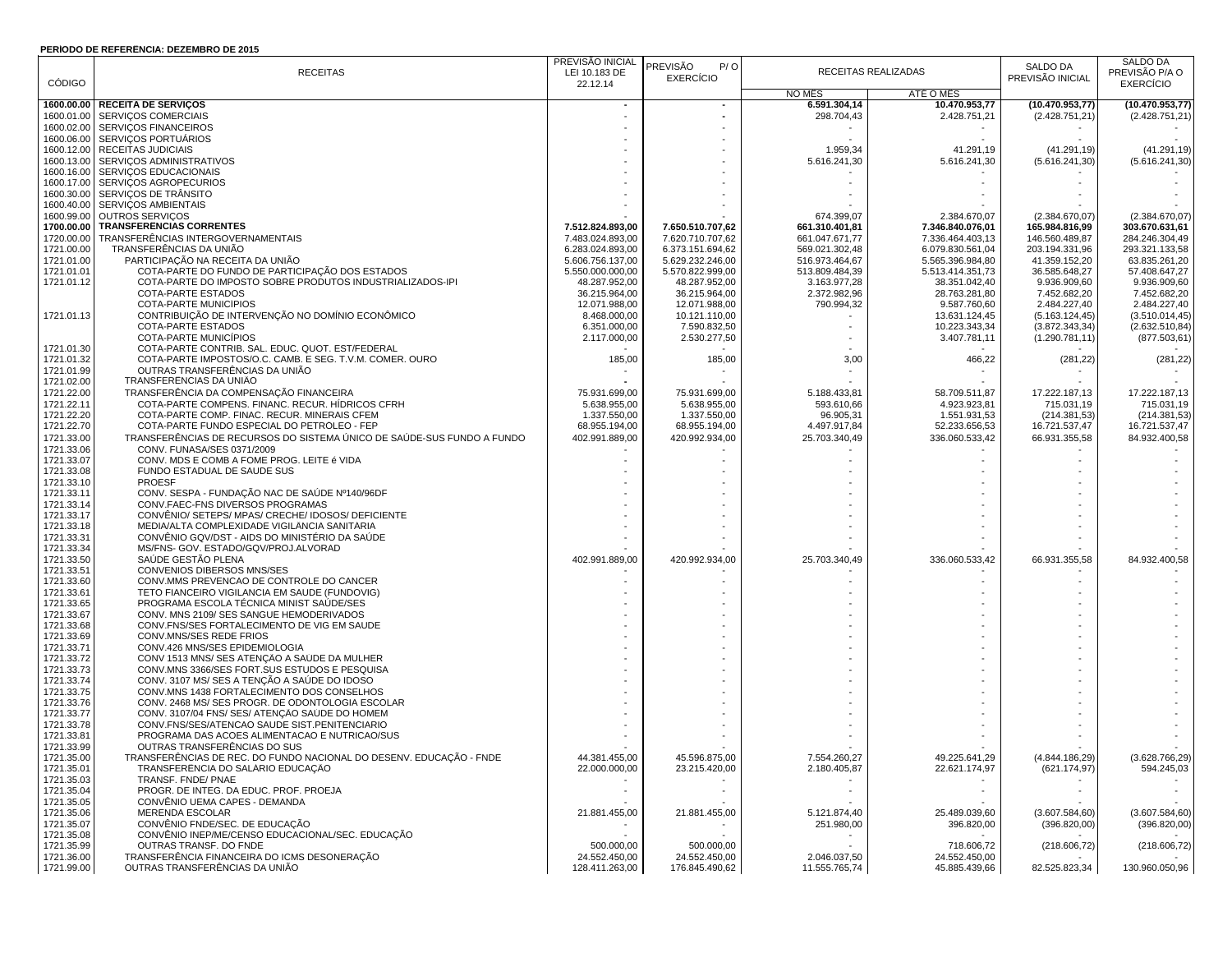## **PERÍODO DE REFERÊNCIA: DEZEMBRO DE 2015**

|               | LENODO DE NEL ENENOM. DEZEMBNO DE ZOTJ                                 |                          |                        |                |                          |                  |                  |
|---------------|------------------------------------------------------------------------|--------------------------|------------------------|----------------|--------------------------|------------------|------------------|
|               |                                                                        | PREVISÃO INICIAL         | <b>PREVISÃO</b><br>P/O |                | RECEITAS REALIZADAS      | SALDO DA         | SALDO DA         |
| <b>CÓDIGO</b> | <b>RECEITAS</b>                                                        | LEI 10.183 DE            | <b>EXERCÍCIO</b>       |                |                          | PREVISÃO INICIAL | PREVISÃO P/A O   |
|               |                                                                        | 22.12.14                 |                        | NO MÊS         | ATÉ O MÊS                |                  | <b>EXERCÍCIO</b> |
|               |                                                                        |                          |                        |                |                          |                  |                  |
|               | 1600.00.00 RECEITA DE SERVIÇOS                                         |                          | $\sim$                 | 6.591.304,14   | 10.470.953,77            | (10.470.953,77)  | (10.470.953,77)  |
|               | 1600.01.00 SERVIÇOS COMERCIAIS                                         |                          |                        | 298.704,43     | 2.428.751,21             | (2.428.751,21)   | (2.428.751, 21)  |
| 1600.02.00    | <b>SERVICOS FINANCEIROS</b>                                            |                          |                        |                |                          |                  |                  |
| 1600.06.00    | SERVIÇOS PORTUÁRIOS                                                    |                          |                        |                |                          |                  |                  |
| 1600.12.00    | <b>RECEITAS JUDICIAIS</b>                                              |                          |                        | 1.959,34       | 41.291,19                | (41.291, 19)     | (41.291, 19)     |
| 1600.13.00    | SERVIÇOS ADMINISTRATIVOS                                               |                          |                        | 5.616.241,30   | 5.616.241,30             | (5.616.241, 30)  | (5.616.241, 30)  |
| 1600.16.00    | SERVIÇOS EDUCACIONAIS                                                  |                          |                        |                |                          |                  |                  |
|               | 1600.17.00 SERVIÇOS AGROPECURIOS                                       |                          |                        |                |                          |                  |                  |
| 1600.30.00    | SERVIÇOS DE TRÂNSITO                                                   |                          |                        |                |                          |                  |                  |
| 1600.40.00    | SERVIÇOS AMBIENTAIS                                                    |                          |                        |                |                          |                  |                  |
| 1600.99.00    | OUTROS SERVICOS                                                        |                          |                        | 674.399,07     | 2.384.670,07             | (2.384.670.07)   | (2.384.670,07)   |
| 1700.00.00    | <b>TRANSFERENCIAS CORRENTES</b>                                        | 7.512.824.893,00         | 7.650.510.707,62       | 661.310.401,81 | 7.346.840.076,01         | 165.984.816,99   | 303.670.631,61   |
| 1720.00.00    | TRANSFERÊNCIAS INTERGOVERNAMENTAIS                                     | 7.483.024.893,00         | 7.620.710.707,62       | 661.047.671,77 | 7.336.464.403,13         | 146.560.489,87   | 284.246.304,49   |
|               | TRANSFERÊNCIAS DA UNIÃO                                                | 6.283.024.893,00         |                        |                |                          |                  |                  |
| 1721.00.00    |                                                                        |                          | 6.373.151.694,62       | 569.021.302,48 | 6.079.830.561,04         | 203.194.331,96   | 293.321.133,58   |
| 1721.01.00    | PARTICIPAÇÃO NA RECEITA DA UNIÃO                                       | 5.606.756.137,00         | 5.629.232.246,00       | 516.973.464,67 | 5.565.396.984,80         | 41.359.152,20    | 63.835.261,20    |
| 1721.01.01    | COTA-PARTE DO FUNDO DE PARTICIPAÇÃO DOS ESTADOS                        | 5.550.000.000,00         | 5.570.822.999,00       | 513.809.484,39 | 5.513.414.351,73         | 36.585.648,27    | 57.408.647,27    |
| 1721.01.12    | COTA-PARTE DO IMPOSTO SOBRE PRODUTOS INDUSTRIALIZADOS-IPI              | 48.287.952,00            | 48.287.952,00          | 3.163.977,28   | 38.351.042,40            | 9.936.909,60     | 9.936.909,60     |
|               | COTA-PARTE ESTADOS                                                     | 36.215.964,00            | 36.215.964,00          | 2.372.982,96   | 28.763.281,80            | 7.452.682,20     | 7.452.682,20     |
|               | COTA-PARTE MUNICÍPIOS                                                  | 12.071.988,00            | 12.071.988,00          | 790.994,32     | 9.587.760,60             | 2.484.227,40     | 2.484.227,40     |
| 1721.01.13    | CONTRIBUIÇÃO DE INTERVENÇÃO NO DOMÍNIO ECONÔMICO                       | 8.468.000,00             | 10.121.110,00          |                | 13.631.124,45            | (5.163.124, 45)  | (3.510.014, 45)  |
|               | COTA-PARTE ESTADOS                                                     | 6.351.000,00             | 7.590.832,50           |                | 10.223.343,34            | (3.872.343, 34)  | (2.632.510, 84)  |
|               | COTA-PARTE MUNICIPIOS                                                  | 2.117.000,00             | 2.530.277,50           |                | 3.407.781,11             | (1.290.781, 11)  | (877.503, 61)    |
| 1721.01.30    | COTA-PARTE CONTRIB. SAL. EDUC. QUOT. EST/FEDERAL                       |                          |                        |                |                          |                  |                  |
| 1721.01.32    | COTA-PARTE IMPOSTOS/O.C. CAMB. E SEG. T.V.M. COMER. OURO               | 185,00                   | 185,00                 | 3,00           | 466,22                   | (281, 22)        | (281, 22)        |
|               | OUTRAS TRANSFERÊNCIAS DA UNIÃO                                         |                          |                        |                |                          |                  |                  |
| 1721.01.99    |                                                                        |                          |                        |                |                          |                  |                  |
| 1721.02.00    | TRANSFERENCIAS DA UNIAO                                                |                          |                        |                |                          |                  |                  |
| 1721.22.00    | TRANSFERÊNCIA DA COMPENSAÇÃO FINANCEIRA                                | 75.931.699,00            | 75.931.699,00          | 5.188.433,81   | 58.709.511,87            | 17.222.187,13    | 17.222.187,13    |
| 1721.22.11    | COTA-PARTE COMPENS. FINANC. RECUR. HÍDRICOS CFRH                       | 5.638.955,00             | 5.638.955,00           | 593.610,66     | 4.923.923,81             | 715.031,19       | 715.031,19       |
| 1721.22.20    | COTA-PARTE COMP. FINAC. RECUR. MINERAIS CFEM                           | 1.337.550,00             | 1.337.550,00           | 96.905,31      | 1.551.931,53             | (214.381,53)     | (214.381, 53)    |
| 1721.22.70    | COTA-PARTE FUNDO ESPECIAL DO PETRÓLEO - FEP                            | 68.955.194,00            | 68.955.194,00          | 4.497.917,84   | 52.233.656,53            | 16.721.537,47    | 16.721.537,47    |
| 1721.33.00    | TRANSFERÊNCIAS DE RECURSOS DO SISTEMA ÚNICO DE SAÚDE-SUS FUNDO A FUNDO | 402.991.889,00           | 420.992.934,00         | 25.703.340,49  | 336.060.533,42           | 66.931.355,58    | 84.932.400,58    |
| 1721.33.06    | CONV. FUNASA/SES 0371/2009                                             |                          |                        |                |                          |                  |                  |
| 1721.33.07    | CONV. MDS E COMB A FOME PROG. LEITE é VIDA                             |                          |                        |                |                          |                  |                  |
| 1721.33.08    | FUNDO ESTADUAL DE SAUDE SUS                                            |                          |                        |                |                          |                  |                  |
|               |                                                                        |                          |                        |                |                          |                  |                  |
| 1721.33.10    | <b>PROESF</b>                                                          |                          |                        |                |                          |                  |                  |
| 1721.33.11    | CONV. SESPA - FUNDAÇÃO NAC DE SAÚDE Nº140/96DF                         |                          |                        |                |                          |                  |                  |
| 1721.33.14    | CONV.FAEC-FNS DIVERSOS PROGRAMAS                                       |                          |                        |                |                          |                  |                  |
| 1721.33.17    | CONVENIO/ SETEPS/ MPAS/ CRECHE/ IDOSOS/ DEFICIENTE                     |                          |                        |                |                          |                  |                  |
| 1721.33.18    | MEDIA/ALTA COMPLEXIDADE VIGILÂNCIA SANITARIA                           |                          |                        |                |                          |                  |                  |
| 1721.33.31    | CONVÊNIO GQV/DST - AIDS DO MINISTÉRIO DA SAÚDE                         |                          |                        |                |                          |                  |                  |
| 1721.33.34    | MS/FNS- GOV. ESTADO/GQV/PROJ.ALVORAD                                   |                          |                        |                |                          |                  |                  |
| 1721.33.50    | SAÚDE GESTÃO PLENA                                                     | 402.991.889,00           | 420.992.934,00         | 25.703.340,49  | 336.060.533,42           | 66.931.355,58    | 84.932.400,58    |
| 1721.33.51    | CONVENIOS DIBERSOS MNS/SES                                             |                          |                        |                |                          |                  |                  |
| 1721.33.60    | CONV.MMS PREVENCAO DE CONTROLE DO CANCER                               |                          |                        |                |                          |                  |                  |
| 1721.33.61    | TETO FIANCEIRO VIGILANCIA EM SAUDE (FUNDOVIG)                          |                          |                        |                |                          |                  |                  |
| 1721.33.65    | PROGRAMA ESCOLA TÉCNICA MINIST SAÚDE/SES                               |                          |                        |                |                          |                  |                  |
| 1721.33.67    | CONV. MNS 2109/ SES SANGUE HEMODERIVADOS                               |                          |                        |                |                          |                  |                  |
|               |                                                                        |                          |                        |                |                          |                  |                  |
| 1721.33.68    | CONV.FNS/SES FORTALECIMENTO DE VIG EM SAUDE                            |                          |                        |                |                          |                  |                  |
| 1721.33.69    | CONV.MNS/SES REDE FRIOS                                                |                          |                        |                |                          |                  |                  |
| 1721.33.71    | CONV.426 MNS/SES EPIDEMIOLOGIA                                         |                          |                        |                |                          |                  |                  |
| 1721.33.72    | CONV 1513 MNS/ SES ATENÇÃO A SAÚDE DA MULHER                           |                          |                        |                |                          |                  |                  |
| 1721.33.73    | CONV.MNS 3366/SES FORT.SUS ESTUDOS E PESQUISA                          |                          |                        |                |                          |                  |                  |
| 1721.33.74    | CONV. 3107 MS/ SES A TENÇÃO A SAÚDE DO IDOSO                           |                          |                        |                |                          |                  |                  |
| 1721.33.75    | CONV.MNS 1438 FORTALECIMENTO DOS CONSELHOS                             |                          |                        |                |                          |                  |                  |
| 1721.33.76    | CONV. 2468 MS/ SES PROGR. DE ODONTOLOGIA ESCOLAR                       |                          |                        |                |                          |                  |                  |
| 1721.33.77    | CONV. 3107/04 FNS/ SES/ ATENÇÃO SAÚDE DO HOMEM                         |                          |                        |                |                          |                  |                  |
| 1721.33.78    | CONV.FNS/SES/ATENCAO SAUDE SIST.PENITENCIARIO                          |                          |                        |                |                          |                  |                  |
| 1721.33.81    | PROGRAMA DAS ACOES ALIMENTACAO E NUTRICAO/SUS                          |                          |                        |                |                          |                  |                  |
| 1721.33.99    | OUTRAS TRANSFERÊNCIAS DO SUS                                           |                          |                        |                |                          |                  |                  |
| 1721.35.00    | TRANSFERÊNCIAS DE REC. DO FUNDO NACIONAL DO DESENV. EDUCAÇÃO - FNDE    | 44.381.455,00            | 45.596.875,00          | 7.554.260,27   | 49.225.641,29            |                  | (3.628.766, 29)  |
|               | TRANSFERÊNCIA DO SALÁRIO EDUCAÇÃO                                      | 22.000.000,00            |                        |                |                          | (4.844.186,29)   |                  |
| 1721.35.01    |                                                                        |                          | 23.215.420,00          | 2.180.405,87   | 22.621.174,97            | (621.174, 97)    | 594.245,03       |
| 1721.35.03    | TRANSF. FNDE/ PNAE                                                     |                          |                        |                |                          |                  |                  |
| 1721.35.04    | PROGR. DE INTEG. DA EDUC. PROF. PROEJA                                 | $\overline{\phantom{a}}$ |                        |                | $\overline{\phantom{a}}$ |                  |                  |
| 1721.35.05    | CONVÊNIO UEMA CAPES - DEMANDA                                          |                          |                        |                |                          |                  |                  |
| 1721.35.06    | <b>MERENDA ESCOLAR</b>                                                 | 21.881.455,00            | 21.881.455,00          | 5.121.874,40   | 25.489.039,60            | (3.607.584, 60)  | (3.607.584, 60)  |
| 1721.35.07    | CONVÊNIO FNDE/SEC. DE EDUCAÇÃO                                         |                          |                        | 251.980,00     | 396.820,00               | (396.820,00)     | (396.820,00)     |
| 1721.35.08    | CONVÊNIO INEP/ME/CENSO EDUCACIONAL/SEC. EDUCAÇÃO                       | $\overline{\phantom{a}}$ |                        |                |                          |                  |                  |
| 1721.35.99    | OUTRAS TRANSF. DO FNDE                                                 | 500.000,00               | 500.000,00             |                | 718.606,72               | (218.606, 72)    | (218.606, 72)    |
| 1721.36.00    | TRANSFERÊNCIA FINANCEIRA DO ICMS DESONERAÇÃO                           | 24.552.450,00            | 24.552.450,00          | 2.046.037,50   | 24.552.450,00            |                  |                  |
| 1721.99.00    | OUTRAS TRANSFERÊNCIAS DA UNIÃO                                         | 128.411.263,00           | 176.845.490,62         | 11.555.765,74  | 45.885.439,66            | 82.525.823,34    | 130.960.050,96   |
|               |                                                                        |                          |                        |                |                          |                  |                  |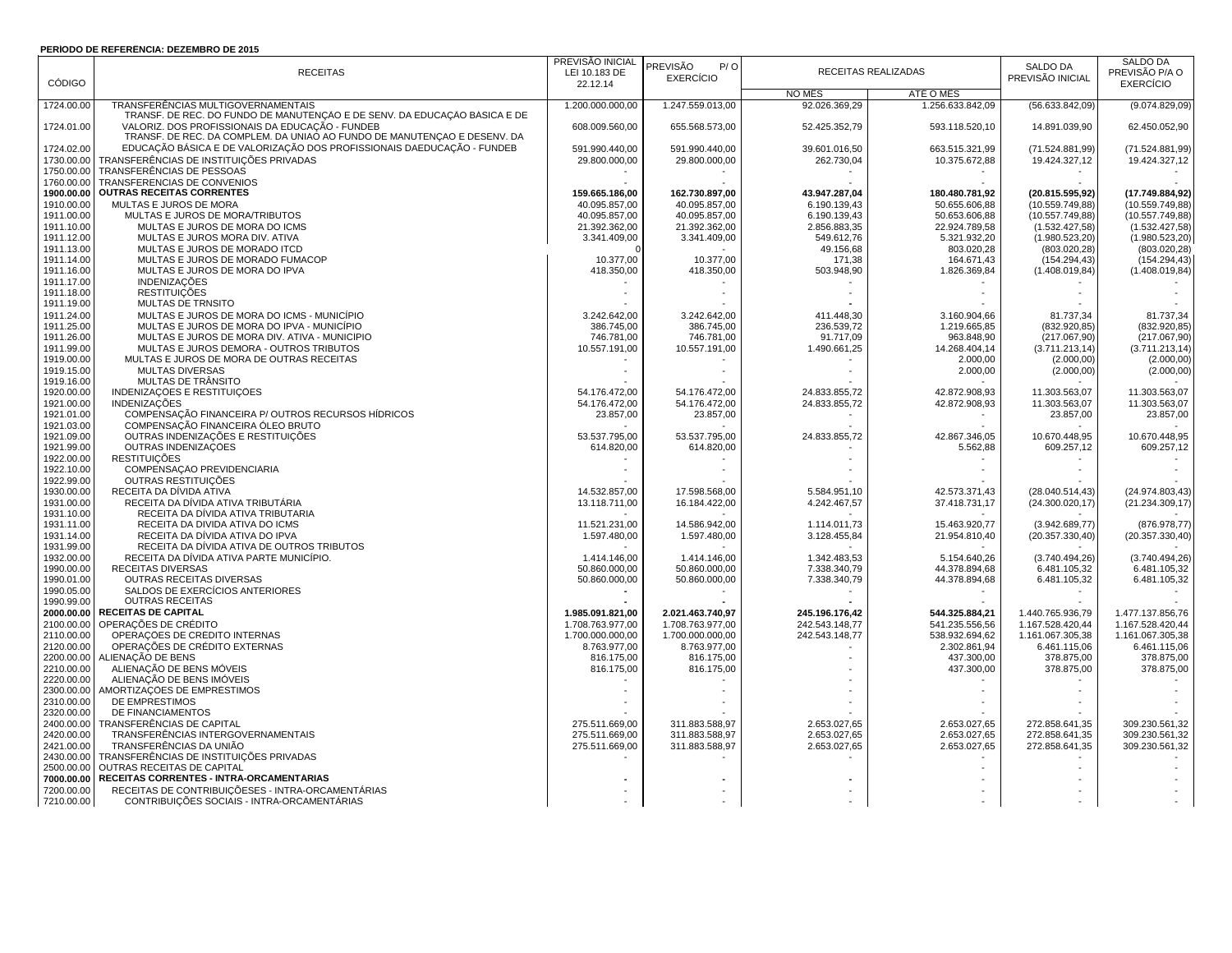## **PERÍODO DE REFERÊNCIA: DEZEMBRO DE 2015**

|                          | <b>FERIODO DE REFERENCIA. DEZEMBRO DE 2013</b>                            |                  |                  |                |                                |                                |                                |
|--------------------------|---------------------------------------------------------------------------|------------------|------------------|----------------|--------------------------------|--------------------------------|--------------------------------|
|                          |                                                                           | PREVISÃO INICIAL | PREVISÃO<br>P/O  |                |                                | SALDO DA                       | SALDO DA                       |
|                          | <b>RECEITAS</b>                                                           | LEI 10.183 DE    | <b>EXERCÍCIO</b> |                | RECEITAS REALIZADAS            | PREVISÃO INICIAL               | PREVISÃO P/A O                 |
| CÓDIGO                   |                                                                           | 22.12.14         |                  |                |                                |                                | <b>EXERCÍCIO</b>               |
|                          |                                                                           |                  |                  | NO MÊS         | ATÉ O MÊS                      |                                |                                |
| 1724.00.00               | TRANSFERÊNCIAS MULTIGOVERNAMENTAIS                                        | 1.200.000.000.00 | 1.247.559.013.00 | 92.026.369,29  | 1.256.633.842.09               | (56.633.842.09)                | (9.074.829.09)                 |
|                          | TRANSF. DE REC. DO FUNDO DE MANUTENÇÃO E DE SENV. DA EDUCAÇÃO BASICA E DE |                  |                  |                |                                |                                |                                |
| 1724.01.00               | VALORIZ. DOS PROFISSIONAIS DA EDUCAÇÃO - FUNDEB                           | 608.009.560,00   | 655.568.573,00   | 52.425.352,79  | 593.118.520,10                 | 14.891.039,90                  | 62.450.052,90                  |
|                          | TRANSF. DE REC. DA COMPLEM. DA UNIAO AO FUNDO DE MANUTENÇÃO E DESENV. DA  |                  |                  |                |                                |                                |                                |
| 1724.02.00               | EDUCAÇÃO BÁSICA E DE VALORIZAÇÃO DOS PROFISSIONAIS DAEDUCAÇÃO - FUNDEB    | 591.990.440,00   | 591.990.440,00   | 39.601.016,50  | 663.515.321,99                 | (71.524.881.99)                | (71.524.881,99)                |
| 1730.00.00               | TRANSFERÊNCIAS DE INSTITUIÇÕES PRIVADAS                                   | 29.800.000,00    | 29.800.000,00    | 262.730,04     | 10.375.672,88                  | 19.424.327,12                  | 19.424.327,12                  |
| 1750.00.00               | TRANSFERÊNCIAS DE PESSOAS                                                 |                  |                  |                |                                |                                |                                |
| 1760.00.00               | TRANSFERENCIAS DE CONVENIOS                                               |                  |                  |                | $\sim$                         |                                |                                |
| 1900.00.00               | <b>OUTRAS RECEITAS CORRENTES</b>                                          | 159.665.186,00   | 162.730.897,00   | 43.947.287,04  | 180.480.781,92                 | (20.815.595.92)                | (17.749.884,92)                |
| 1910.00.00               | MULTAS E JUROS DE MORA                                                    | 40.095.857,00    | 40.095.857,00    | 6.190.139,43   | 50.655.606,88                  | (10.559.749.88)                | (10.559.749, 88)               |
| 1911.00.00               | MULTAS E JUROS DE MORA/TRIBUTOS                                           | 40.095.857,00    | 40.095.857,00    | 6.190.139,43   | 50.653.606,88                  | (10.557.749,88)                | (10.557.749.88)                |
| 1911.10.00               | MULTAS E JUROS DE MORA DO ICMS                                            | 21.392.362,00    | 21.392.362,00    | 2.856.883,35   | 22.924.789,58                  | (1.532.427,58)                 | (1.532.427,58)                 |
| 1911.12.00               | MULTAS E JUROS MORA DIV. ATIVA                                            | 3.341.409,00     | 3.341.409,00     | 549.612,76     | 5.321.932,20                   | (1.980.523, 20)                | (1.980.523,20)                 |
| 1911.13.00               | MULTAS E JUROS DE MORADO ITCD                                             |                  |                  | 49.156,68      | 803.020,28                     | (803.020, 28)                  | (803.020, 28)                  |
| 1911.14.00               | MULTAS E JUROS DE MORADO FUMACOP                                          | 10.377,00        | 10.377,00        | 171,38         | 164.671,43                     | (154.294, 43)                  | (154.294, 43)                  |
| 1911.16.00               | MULTAS E JUROS DE MORA DO IPVA                                            | 418.350,00       | 418.350,00       | 503.948,90     | 1.826.369,84                   | (1.408.019, 84)                | (1.408.019, 84)                |
| 1911.17.00               | <b>INDENIZAÇÕES</b>                                                       |                  |                  |                |                                |                                |                                |
| 1911.18.00               | <b>RESTITUICÕES</b>                                                       |                  | $\blacksquare$   |                |                                |                                |                                |
| 1911.19.00               | MULTAS DE TRNSITO                                                         |                  |                  |                |                                |                                |                                |
| 1911.24.00               | MULTAS E JUROS DE MORA DO ICMS - MUNICÍPIO                                | 3.242.642.00     | 3.242.642.00     | 411.448.30     | 3.160.904.66                   | 81.737.34                      | 81.737,34                      |
| 1911.25.00               | MULTAS E JUROS DE MORA DO IPVA - MUNICÍPIO                                | 386.745,00       | 386.745,00       | 236.539,72     | 1.219.665,85                   | (832.920, 85)                  | (832.920, 85)                  |
| 1911.26.00               | MULTAS E JUROS DE MORA DIV. ATIVA - MUNICÍPIO                             | 746.781,00       | 746.781,00       | 91.717,09      | 963.848,90                     | (217.067,90)                   | (217.067,90)                   |
| 1911.99.00               | MULTAS E JUROS DEMORA - OUTROS TRIBUTOS                                   | 10.557.191,00    | 10.557.191,00    | 1.490.661,25   | 14.268.404,14                  | (3.711.213, 14)                | (3.711.213, 14)                |
| 1919.00.00               | MULTAS E JUROS DE MORA DE OUTRAS RECEITAS                                 |                  |                  |                | 2.000,00                       | (2.000, 00)                    | (2.000, 00)                    |
| 1919.15.00               | <b>MULTAS DIVERSAS</b>                                                    |                  |                  |                | 2.000,00                       |                                | (2.000, 00)                    |
| 1919.16.00               | MULTAS DE TRÂNSITO                                                        |                  |                  |                |                                | (2.000, 00)                    |                                |
|                          | INDENIZAÇÕES E RESTITUIÇÕES                                               | 54.176.472,00    | 54.176.472,00    | 24.833.855,72  |                                |                                |                                |
| 1920.00.00<br>1921.00.00 | <b>INDENIZAÇÕES</b>                                                       | 54.176.472,00    | 54.176.472,00    | 24.833.855,72  | 42.872.908,93<br>42.872.908,93 | 11.303.563,07<br>11.303.563,07 | 11.303.563,07<br>11.303.563,07 |
| 1921.01.00               | COMPENSAÇÃO FINANCEIRA P/ OUTROS RECURSOS HÍDRICOS                        |                  |                  |                |                                |                                | 23.857,00                      |
| 1921.03.00               | COMPENSAÇÃO FINANCEIRA ÓLEO BRUTO                                         | 23.857,00        | 23.857,00        |                | $\overline{\phantom{a}}$       | 23.857,00                      |                                |
| 1921.09.00               | OUTRAS INDENIZAÇÕES E RESTITUIÇÕES                                        |                  |                  |                |                                |                                | 10.670.448,95                  |
|                          |                                                                           | 53.537.795,00    | 53.537.795,00    | 24.833.855,72  | 42.867.346,05                  | 10.670.448,95                  |                                |
| 1921.99.00               | OUTRAS INDENIZAÇÕES                                                       | 614.820,00       | 614.820,00       |                | 5.562,88                       | 609.257,12                     | 609.257,12                     |
| 1922.00.00               | <b>RESTITUIÇÕES</b>                                                       |                  |                  |                |                                |                                |                                |
| 1922.10.00               | COMPENSAÇÃO PREVIDENCIÁRIA                                                |                  |                  |                |                                |                                |                                |
| 1922.99.00               | OUTRAS RESTITUICÕES                                                       |                  |                  |                |                                |                                |                                |
| 1930.00.00               | RECEITA DA DÍVIDA ATIVA                                                   | 14.532.857,00    | 17.598.568,00    | 5.584.951,10   | 42.573.371,43                  | (28.040.514, 43)               | (24.974.803, 43)               |
| 1931.00.00               | RECEITA DA DÍVIDA ATIVA TRIBUTÁRIA                                        | 13.118.711,00    | 16.184.422,00    | 4.242.467,57   | 37.418.731,17                  | (24.300.020, 17)               | (21.234.309, 17)               |
| 1931.10.00               | RECEITA DA DÍVIDA ATIVA TRIBUTARIA                                        |                  |                  |                |                                |                                |                                |
| 1931.11.00               | RECEITA DA DIVIDA ATIVA DO ICMS                                           | 11.521.231,00    | 14.586.942,00    | 1.114.011,73   | 15.463.920,77                  | (3.942.689, 77)                | (876.978,77)                   |
| 1931.14.00               | RECEITA DA DÍVIDA ATIVA DO IPVA                                           | 1.597.480,00     | 1.597.480,00     | 3.128.455,84   | 21.954.810,40                  | (20.357.330,40)                | (20.357.330,40)                |
| 1931.99.00               | RECEITA DA DÍVIDA ATIVA DE OUTROS TRIBUTOS                                |                  |                  |                |                                |                                |                                |
| 1932.00.00               | RECEITA DA DÍVIDA ATIVA PARTE MUNICÍPIO.                                  | 1.414.146,00     | 1.414.146,00     | 1.342.483,53   | 5.154.640,26                   | (3.740.494.26)                 | (3.740.494,26)                 |
| 1990.00.00               | RECEITAS DIVERSAS                                                         | 50.860.000,00    | 50.860.000,00    | 7.338.340,79   | 44.378.894,68                  | 6.481.105,32                   | 6.481.105,32                   |
| 1990.01.00               | OUTRAS RECEITAS DIVERSAS                                                  | 50.860.000,00    | 50.860.000,00    | 7.338.340,79   | 44.378.894,68                  | 6.481.105,32                   | 6.481.105,32                   |
| 1990.05.00               | SALDOS DE EXERCÍCIOS ANTERIORES                                           |                  |                  |                |                                |                                |                                |
| 1990.99.00               | <b>OUTRAS RECEITAS</b>                                                    |                  |                  |                |                                | $\overline{\phantom{a}}$       |                                |
| 2000.00.00               | <b>RECEITAS DE CAPITAL</b>                                                | 1.985.091.821,00 | 2.021.463.740,97 | 245.196.176,42 | 544.325.884,21                 | 1.440.765.936,79               | 1.477.137.856,76               |
| 2100.00.00               | OPERAÇÕES DE CRÉDITO                                                      | 1.708.763.977,00 | 1.708.763.977,00 | 242.543.148,77 | 541.235.556,56                 | 1.167.528.420,44               | 1.167.528.420,44               |
| 2110.00.00               | OPERAÇÕES DE CRÉDITO INTERNAS                                             | 1.700.000.000,00 | 1.700.000.000,00 | 242.543.148,77 | 538.932.694,62                 | 1.161.067.305,38               | 1.161.067.305,38               |
| 2120.00.00               | OPERAÇÕES DE CRÉDITO EXTERNAS                                             | 8.763.977,00     | 8.763.977,00     |                | 2.302.861.94                   | 6.461.115.06                   | 6.461.115,06                   |
| 2200.00.00               | ALIENAÇÃO DE BENS                                                         | 816.175,00       | 816.175,00       |                | 437.300,00                     | 378.875,00                     | 378.875,00                     |
| 2210.00.00               | ALIENAÇÃO DE BENS MÓVEIS                                                  | 816.175,00       | 816.175,00       |                | 437.300,00                     | 378.875,00                     | 378.875,00                     |
| 2220.00.00               | ALIENAÇÃO DE BENS IMÓVEIS                                                 |                  |                  |                |                                |                                |                                |
| 2300.00.00               | AMORTIZAÇÕES DE EMPRÉSTIMOS                                               |                  |                  |                |                                |                                |                                |
| 2310.00.00               | DE EMPRESTIMOS                                                            |                  |                  |                |                                |                                |                                |
| 2320.00.00               | DE FINANCIAMENTOS                                                         |                  |                  |                |                                |                                |                                |
| 2400.00.00               | TRANSFERÊNCIAS DE CAPITAL                                                 | 275.511.669,00   | 311.883.588,97   | 2.653.027,65   | 2.653.027,65                   | 272.858.641,35                 | 309.230.561,32                 |
| 2420.00.00               | TRANSFERÊNCIAS INTERGOVERNAMENTAIS                                        | 275.511.669,00   | 311.883.588,97   | 2.653.027,65   | 2.653.027,65                   | 272.858.641,35                 | 309.230.561,32                 |
| 2421.00.00               | TRANSFERÊNCIAS DA UNIÃO                                                   | 275.511.669,00   | 311.883.588,97   | 2.653.027,65   | 2.653.027,65                   | 272.858.641,35                 | 309.230.561,32                 |
| 2430.00.00               | TRANSFERÊNCIAS DE INSTITUIÇÕES PRIVADAS                                   |                  |                  |                |                                |                                |                                |
| 2500.00.00               | OUTRAS RECEITAS DE CAPITAL                                                |                  |                  |                |                                |                                |                                |
| 7000.00.00               | RECEITAS CORRENTES - INTRA-ORCAMENTÁRIAS                                  |                  |                  |                |                                |                                |                                |
| 7200.00.00               | RECEITAS DE CONTRIBUIÇÕESES - INTRA-ORCAMENTÁRIAS                         |                  |                  |                |                                |                                |                                |
| 7210.00.00               | CONTRIBUIÇÕES SOCIAIS - INTRA-ORCAMENTÁRIAS                               |                  |                  |                |                                |                                |                                |